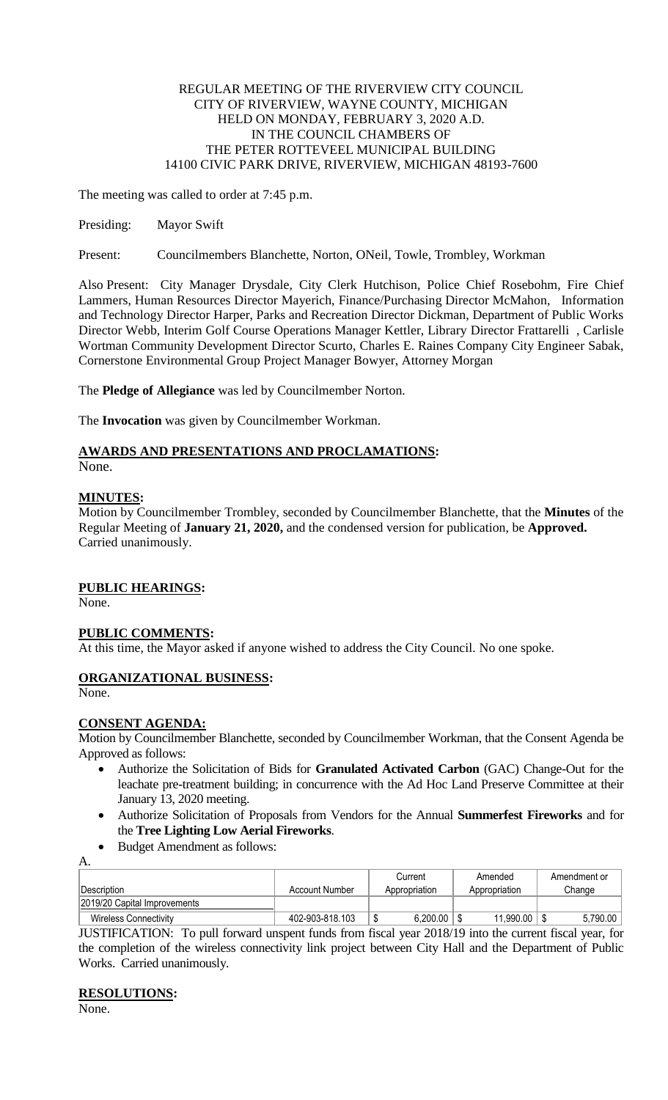### REGULAR MEETING OF THE RIVERVIEW CITY COUNCIL CITY OF RIVERVIEW, WAYNE COUNTY, MICHIGAN HELD ON MONDAY, FEBRUARY 3, 2020 A.D. IN THE COUNCIL CHAMBERS OF THE PETER ROTTEVEEL MUNICIPAL BUILDING 14100 CIVIC PARK DRIVE, RIVERVIEW, MICHIGAN 48193-7600

The meeting was called to order at 7:45 p.m.

Presiding: Mayor Swift

Present: Councilmembers Blanchette, Norton, ONeil, Towle, Trombley, Workman

Also Present: City Manager Drysdale, City Clerk Hutchison, Police Chief Rosebohm, Fire Chief Lammers, Human Resources Director Mayerich, Finance/Purchasing Director McMahon, Information and Technology Director Harper, Parks and Recreation Director Dickman, Department of Public Works Director Webb, Interim Golf Course Operations Manager Kettler, Library Director Frattarelli , Carlisle Wortman Community Development Director Scurto, Charles E. Raines Company City Engineer Sabak, Cornerstone Environmental Group Project Manager Bowyer, Attorney Morgan

The **Pledge of Allegiance** was led by Councilmember Norton.

The **Invocation** was given by Councilmember Workman.

# **AWARDS AND PRESENTATIONS AND PROCLAMATIONS:**

None.

### **MINUTES:**

Motion by Councilmember Trombley, seconded by Councilmember Blanchette, that the **Minutes** of the Regular Meeting of **January 21, 2020,** and the condensed version for publication, be **Approved.** Carried unanimously.

### **PUBLIC HEARINGS:**

None.

### **PUBLIC COMMENTS:**

At this time, the Mayor asked if anyone wished to address the City Council. No one spoke.

## **ORGANIZATIONAL BUSINESS:**

None.

### **CONSENT AGENDA:**

Motion by Councilmember Blanchette, seconded by Councilmember Workman, that the Consent Agenda be Approved as follows:

- Authorize the Solicitation of Bids for **Granulated Activated Carbon** (GAC) Change-Out for the leachate pre-treatment building; in concurrence with the Ad Hoc Land Preserve Committee at their January 13, 2020 meeting.
- Authorize Solicitation of Proposals from Vendors for the Annual **Summerfest Fireworks** and for the **Tree Lighting Low Aerial Fireworks**.
- Budget Amendment as follows:

|                              |                 | Current       |          | Amended       |           | Amendment or |          |
|------------------------------|-----------------|---------------|----------|---------------|-----------|--------------|----------|
| Description                  | Account Number  | Appropriation |          | Appropriation |           | Change       |          |
| 2019/20 Capital Improvements |                 |               |          |               |           |              |          |
| <b>Wireless Connectivity</b> | 402-903-818.103 | ง             | 6.200.00 |               | 11.990.00 |              | 5.790.00 |

JUSTIFICATION: To pull forward unspent funds from fiscal year 2018/19 into the current fiscal year, for the completion of the wireless connectivity link project between City Hall and the Department of Public Works. Carried unanimously.

### **RESOLUTIONS:**

None.

A.